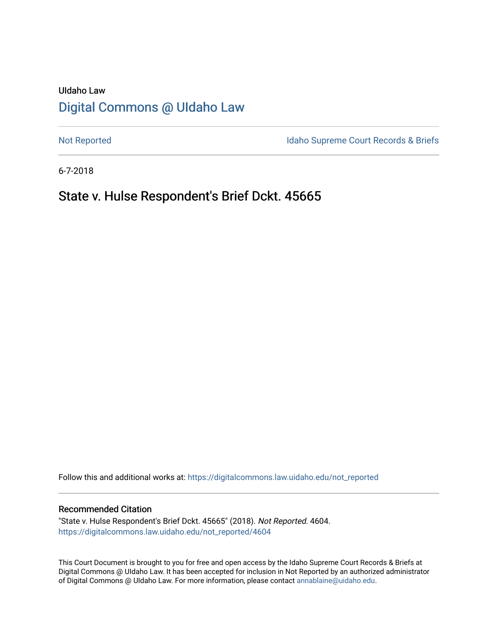# UIdaho Law [Digital Commons @ UIdaho Law](https://digitalcommons.law.uidaho.edu/)

[Not Reported](https://digitalcommons.law.uidaho.edu/not_reported) **Idaho Supreme Court Records & Briefs** 

6-7-2018

## State v. Hulse Respondent's Brief Dckt. 45665

Follow this and additional works at: [https://digitalcommons.law.uidaho.edu/not\\_reported](https://digitalcommons.law.uidaho.edu/not_reported?utm_source=digitalcommons.law.uidaho.edu%2Fnot_reported%2F4604&utm_medium=PDF&utm_campaign=PDFCoverPages) 

#### Recommended Citation

"State v. Hulse Respondent's Brief Dckt. 45665" (2018). Not Reported. 4604. [https://digitalcommons.law.uidaho.edu/not\\_reported/4604](https://digitalcommons.law.uidaho.edu/not_reported/4604?utm_source=digitalcommons.law.uidaho.edu%2Fnot_reported%2F4604&utm_medium=PDF&utm_campaign=PDFCoverPages)

This Court Document is brought to you for free and open access by the Idaho Supreme Court Records & Briefs at Digital Commons @ UIdaho Law. It has been accepted for inclusion in Not Reported by an authorized administrator of Digital Commons @ UIdaho Law. For more information, please contact [annablaine@uidaho.edu](mailto:annablaine@uidaho.edu).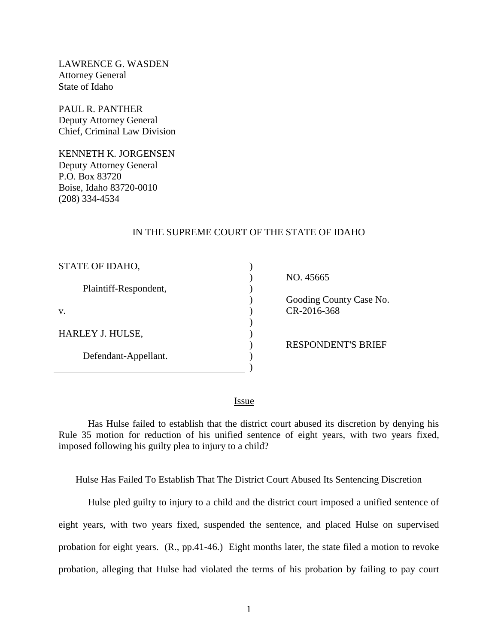LAWRENCE G. WASDEN Attorney General State of Idaho

PAUL R. PANTHER Deputy Attorney General Chief, Criminal Law Division

KENNETH K. JORGENSEN Deputy Attorney General P.O. Box 83720 Boise, Idaho 83720-0010 (208) 334-4534

### IN THE SUPREME COURT OF THE STATE OF IDAHO

| STATE OF IDAHO,       |  |
|-----------------------|--|
| Plaintiff-Respondent, |  |
| V.                    |  |
| HARLEY J. HULSE,      |  |
| Defendant-Appellant.  |  |

 NO. 45665 Gooding County Case No. CR-2016-368

RESPONDENT'S BRIEF

<u>Issue</u>

Has Hulse failed to establish that the district court abused its discretion by denying his Rule 35 motion for reduction of his unified sentence of eight years, with two years fixed, imposed following his guilty plea to injury to a child?

### Hulse Has Failed To Establish That The District Court Abused Its Sentencing Discretion

Hulse pled guilty to injury to a child and the district court imposed a unified sentence of eight years, with two years fixed, suspended the sentence, and placed Hulse on supervised probation for eight years. (R., pp.41-46.) Eight months later, the state filed a motion to revoke probation, alleging that Hulse had violated the terms of his probation by failing to pay court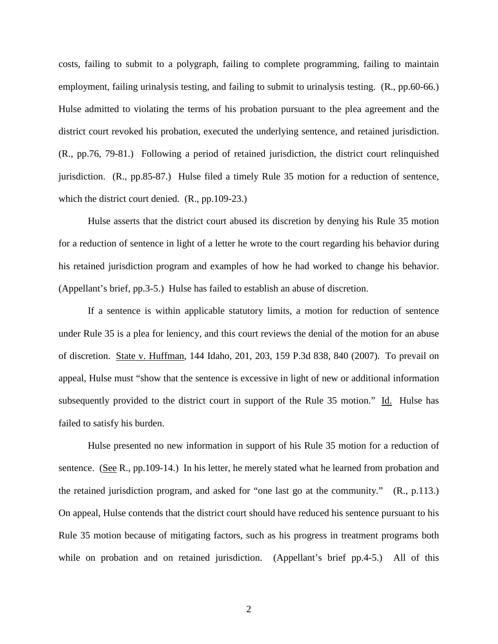costs, failing to submit to a polygraph, failing to complete programming, failing to maintain employment, failing urinalysis testing, and failing to submit to urinalysis testing. (R., pp.60-66.) Hulse admitted to violating the terms of his probation pursuant to the plea agreement and the district court revoked his probation, executed the underlying sentence, and retained jurisdiction. (R., pp.76, 79-81.) Following a period of retained jurisdiction, the district court relinquished jurisdiction. (R., pp.85-87.) Hulse filed a timely Rule 35 motion for a reduction of sentence, which the district court denied. (R., pp.109-23.)

Hulse asserts that the district court abused its discretion by denying his Rule 35 motion for a reduction of sentence in light of a letter he wrote to the court regarding his behavior during his retained jurisdiction program and examples of how he had worked to change his behavior. (Appellant's brief, pp.3-5.) Hulse has failed to establish an abuse of discretion.

If a sentence is within applicable statutory limits, a motion for reduction of sentence under Rule 35 is a plea for leniency, and this court reviews the denial of the motion for an abuse of discretion. State v. Huffman, 144 Idaho, 201, 203, 159 P.3d 838, 840 (2007). To prevail on appeal, Hulse must "show that the sentence is excessive in light of new or additional information subsequently provided to the district court in support of the Rule 35 motion." Id. Hulse has failed to satisfy his burden.

Hulse presented no new information in support of his Rule 35 motion for a reduction of sentence. (See R.,  $pp.109-14$ .) In his letter, he merely stated what he learned from probation and the retained jurisdiction program, and asked for "one last go at the community." (R., p.113.) On appeal, Hulse contends that the district court should have reduced his sentence pursuant to his Rule 35 motion because of mitigating factors, such as his progress in treatment programs both while on probation and on retained jurisdiction. (Appellant's brief pp.4-5.) All of this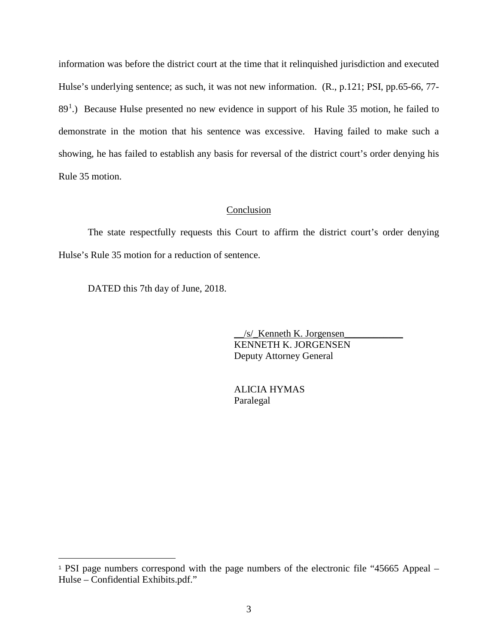information was before the district court at the time that it relinquished jurisdiction and executed Hulse's underlying sentence; as such, it was not new information. (R., p.121; PSI, pp.65-66, 77-  $89<sup>1</sup>$  $89<sup>1</sup>$  $89<sup>1</sup>$ .) Because Hulse presented no new evidence in support of his Rule 35 motion, he failed to demonstrate in the motion that his sentence was excessive. Having failed to make such a showing, he has failed to establish any basis for reversal of the district court's order denying his Rule 35 motion.

### Conclusion

The state respectfully requests this Court to affirm the district court's order denying Hulse's Rule 35 motion for a reduction of sentence.

DATED this 7th day of June, 2018.

 $\overline{a}$ 

 $/s/$  Kenneth K. Jorgensen KENNETH K. JORGENSEN Deputy Attorney General

 ALICIA HYMAS Paralegal

<span id="page-3-0"></span><sup>1</sup> PSI page numbers correspond with the page numbers of the electronic file "45665 Appeal – Hulse – Confidential Exhibits.pdf."